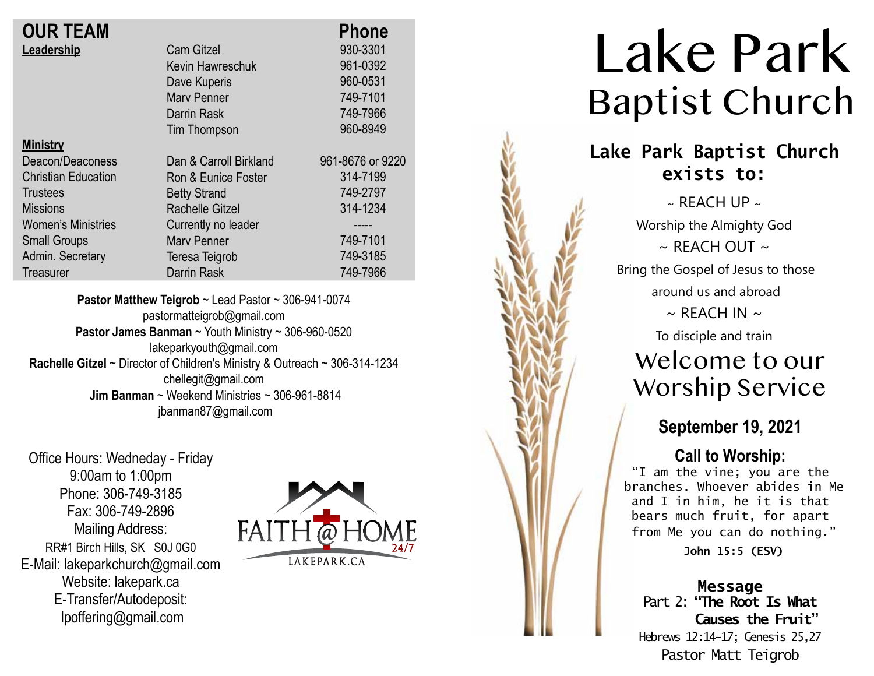| <b>OUR TEAM</b>            |                        | <b>Phone</b>     |
|----------------------------|------------------------|------------------|
| Leadership                 | <b>Cam Gitzel</b>      | 930-3301         |
|                            | Kevin Hawreschuk       | 961-0392         |
|                            | Dave Kuperis           | 960-0531         |
|                            | <b>Mary Penner</b>     | 749-7101         |
|                            | Darrin Rask            | 749-7966         |
|                            | Tim Thompson           | 960-8949         |
| <b>Ministry</b>            |                        |                  |
| Deacon/Deaconess           | Dan & Carroll Birkland | 961-8676 or 9220 |
| <b>Christian Education</b> | Ron & Eunice Foster    | 314-7199         |
| Trustees                   | <b>Betty Strand</b>    | 749-2797         |
| <b>Missions</b>            | <b>Rachelle Gitzel</b> | 314-1234         |
| <b>Women's Ministries</b>  | Currently no leader    |                  |
| <b>Small Groups</b>        | <b>Mary Penner</b>     | 749-7101         |
| Admin. Secretary           | Teresa Teigrob         | 749-3185         |
|                            | Darrin Rask            | 749-7966         |
| Treasurer                  |                        |                  |

**Pastor Matthew Teigrob** ~ Lead Pastor ~ 306-941-0074 pastormatteigrob@gmail.com **Pastor James Banman** ~ Youth Ministry ~ 306-960-0520 lakeparkyouth@gmail.com **Rachelle Gitzel** ~ Director of Children's Ministry & Outreach ~ 306-314-1234 chellegit@gmail.com  **Jim Banman** ~ Weekend Ministries ~ 306-961-8814 jbanman87@gmail.com

Office Hours: Wedneday - Friday 9:00am to 1:00pm Phone: 306-749-3185 Fax: 306-749-2896 Mailing Address: RR#1 Birch Hills, SK S0J 0G0 E-Mail: lakeparkchurch@gmail.com Website: lakepark.ca E-Transfer/Autodeposit: lpoffering@gmail.com



# Lake Park Baptist Church

### **Lake Park Baptist Church exists to:**

 $\sim$  REACH UP  $\sim$ Worship the Almighty God  $\sim$  RFACH OUT  $\sim$ Bring the Gospel of Jesus to those around us and abroad  $\sim$  REACH IN  $\sim$ To disciple and train Welcome to our

# Worship Service

### **September 19, 2021**

#### **Call to Worship:**

"I am the vine; you are the branches. Whoever abides in Me and I in him, he it is that bears much fruit, for apart from Me you can do nothing."

**John 15:5 (ESV)**

#### **Message** Part 2: **"The Root Is What Causes the Fruit"**  Hebrews 12:14-17; Genesis 25,27 Pastor Matt Teigrob